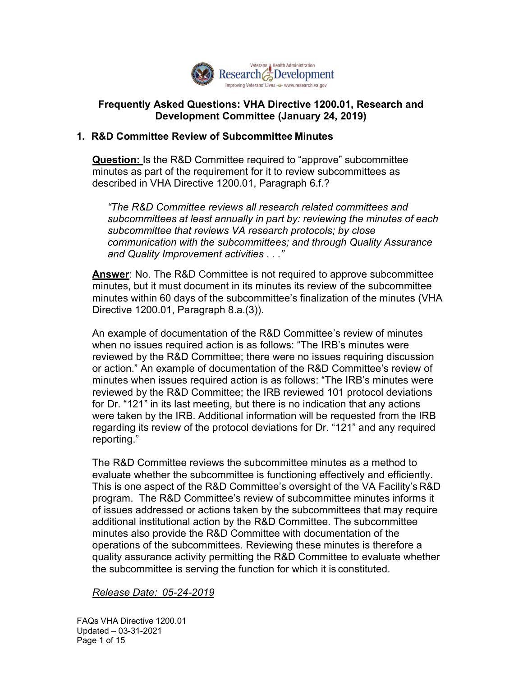

## Frequently Asked Questions: VHA Directive 1200.01, Research and Development Committee (January 24, 2019)

## 1. R&D Committee Review of Subcommittee Minutes

Question: Is the R&D Committee required to "approve" subcommittee minutes as part of the requirement for it to review subcommittees as described in VHA Directive 1200.01, Paragraph 6.f.?

 subcommittees at least annually in part by: reviewing the minutes of each subcommittee that reviews VA research protocols; by close and Quality Improvement activities . . ." "The R&D Committee reviews all research related committees and communication with the subcommittees; and through Quality Assurance

**Answer:** No. The R&D Committee is not required to approve subcommittee minutes, but it must document in its minutes its review of the subcommittee minutes within 60 days of the subcommittee's finalization of the minutes (VHA Directive 1200.01, Paragraph 8.a.(3)).

 when no issues required action is as follows: "The IRB's minutes were reviewed by the R&D Committee; there were no issues requiring discussion or action." An example of documentation of the R&D Committee's review of reviewed by the R&D Committee; the IRB reviewed 101 protocol deviations for Dr. "121" in its last meeting, but there is no indication that any actions were taken by the IRB. Additional information will be requested from the IRB regarding its review of the protocol deviations for Dr. "121" and any required An example of documentation of the R&D Committee's review of minutes minutes when issues required action is as follows: "The IRB's minutes were reporting."

 This is one aspect of the R&D Committee's oversight of the VA Facility's R&D program. The R&D Committee's review of subcommittee minutes informs it of issues addressed or actions taken by the subcommittees that may require additional institutional action by the R&D Committee. The subcommittee minutes also provide the R&D Committee with documentation of the operations of the subcommittees. Reviewing these minutes is therefore a the subcommittee is serving the function for which it is constituted. The R&D Committee reviews the subcommittee minutes as a method to evaluate whether the subcommittee is functioning effectively and efficiently. quality assurance activity permitting the R&D Committee to evaluate whether

#### Release Date: 05-24-2019

 FAQs VHA Directive 1200.01 Page 1 of 15Updated – 03-31-2021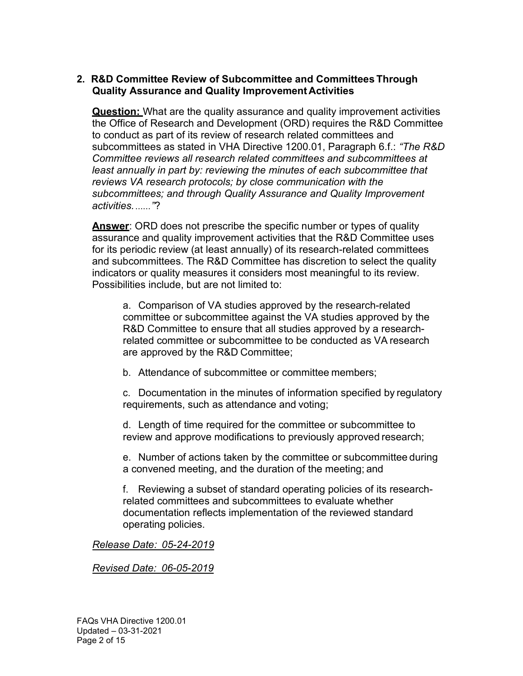## 2. R&D Committee Review of Subcommittee and Committees Through Quality Assurance and Quality Improvement Activities

**Question:** What are the quality assurance and quality improvement activities the Office of Research and Development (ORD) requires the R&D Committee to conduct as part of its review of research related committees and subcommittees as stated in VHA Directive 1200.01, Paragraph 6.f.: *"The R&D*  Committee reviews all research related committees and subcommittees at least annually in part by: reviewing the minutes of each subcommittee that reviews VA research protocols; by close communication with the subcommittees; and through Quality Assurance and Quality Improvement activities. ......"?

Answer: ORD does not prescribe the specific number or types of quality assurance and quality improvement activities that the R&D Committee uses for its periodic review (at least annually) of its research-related committees and subcommittees. The R&D Committee has discretion to select the quality indicators or quality measures it considers most meaningful to its review. Possibilities include, but are not limited to:

 a. Comparison of VA studies approved by the research-related committee or subcommittee against the VA studies approved by the R&D Committee to ensure that all studies approved by a research- related committee or subcommittee to be conducted as VA research are approved by the R&D Committee;

b. Attendance of subcommittee or committee members;

 c. Documentation in the minutes of information specified by regulatory requirements, such as attendance and voting;

 d. Length of time required for the committee or subcommittee to review and approve modifications to previously approved research;

 e. Number of actions taken by the committee or subcommittee during a convened meeting, and the duration of the meeting; and

 f. Reviewing a subset of standard operating policies of its research- related committees and subcommittees to evaluate whether documentation reflects implementation of the reviewed standard operating policies.

Release Date: 05-24-2019

Revised Date: 06-05-2019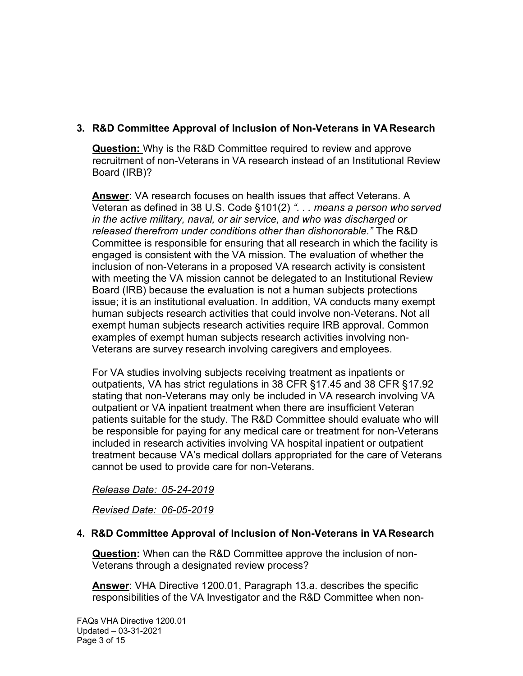# 3. R&D Committee Approval of Inclusion of Non-Veterans in VA Research

**Question:** Why is the R&D Committee required to review and approve recruitment of non-Veterans in VA research instead of an Institutional Review Board (IRB)?

Answer: VA research focuses on health issues that affect Veterans. A Veteran as defined in 38 U.S. Code §101(2) ". . . means a person who served in the active military, naval, or air service, and who was discharged or released therefrom under conditions other than dishonorable." The R&D Committee is responsible for ensuring that all research in which the facility is engaged is consistent with the VA mission. The evaluation of whether the inclusion of non-Veterans in a proposed VA research activity is consistent with meeting the VA mission cannot be delegated to an Institutional Review Board (IRB) because the evaluation is not a human subjects protections issue; it is an institutional evaluation. In addition, VA conducts many exempt human subjects research activities that could involve non-Veterans. Not all exempt human subjects research activities require IRB approval. Common examples of exempt human subjects research activities involving non-Veterans are survey research involving caregivers and employees.

 For VA studies involving subjects receiving treatment as inpatients or outpatients, VA has strict regulations in 38 CFR §17.45 and 38 CFR §17.92 stating that non-Veterans may only be included in VA research involving VA outpatient or VA inpatient treatment when there are insufficient Veteran patients suitable for the study. The R&D Committee should evaluate who will be responsible for paying for any medical care or treatment for non-Veterans included in research activities involving VA hospital inpatient or outpatient treatment because VA's medical dollars appropriated for the care of Veterans cannot be used to provide care for non-Veterans.

#### Release Date: 05-24-2019

Revised Date: 06-05-2019

# 4. R&D Committee Approval of Inclusion of Non-Veterans in VAResearch

Question: When can the R&D Committee approve the inclusion of non-Veterans through a designated review process?

Answer: VHA Directive 1200.01, Paragraph 13.a. describes the specific responsibilities of the VA Investigator and the R&D Committee when non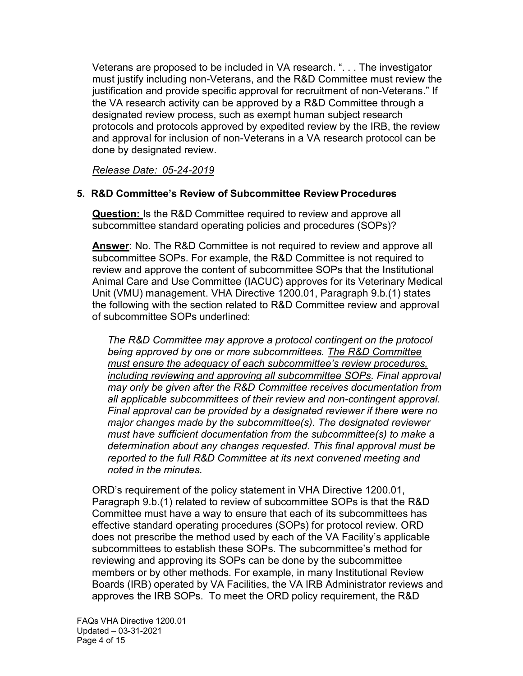Veterans are proposed to be included in VA research. ". . . The investigator must justify including non-Veterans, and the R&D Committee must review the justification and provide specific approval for recruitment of non-Veterans." If the VA research activity can be approved by a R&D Committee through a designated review process, such as exempt human subject research protocols and protocols approved by expedited review by the IRB, the review and approval for inclusion of non-Veterans in a VA research protocol can be done by designated review.

Release Date: 05-24-2019

# 5. R&D Committee's Review of Subcommittee Review Procedures

Question: Is the R&D Committee required to review and approve all subcommittee standard operating policies and procedures (SOPs)?

Answer: No. The R&D Committee is not required to review and approve all subcommittee SOPs. For example, the R&D Committee is not required to review and approve the content of subcommittee SOPs that the Institutional Animal Care and Use Committee (IACUC) approves for its Veterinary Medical Unit (VMU) management. VHA Directive 1200.01, Paragraph 9.b.(1) states the following with the section related to R&D Committee review and approval of subcommittee SOPs underlined:

 The R&D Committee may approve a protocol contingent on the protocol being approved by one or more subcommittees. The R&D Committee must ensure the adequacy of each subcommittee's review procedures, including reviewing and approving all subcommittee SOPs. Final approval may only be given after the R&D Committee receives documentation from all applicable subcommittees of their review and non-contingent approval. Final approval can be provided by a designated reviewer if there were no major changes made by the subcommittee(s). The designated reviewer must have sufficient documentation from the subcommittee(s) to make a determination about any changes requested. This final approval must be reported to the full R&D Committee at its next convened meeting and noted in the minutes.

 ORD's requirement of the policy statement in VHA Directive 1200.01, Paragraph 9.b.(1) related to review of subcommittee SOPs is that the R&D Committee must have a way to ensure that each of its subcommittees has effective standard operating procedures (SOPs) for protocol review. ORD does not prescribe the method used by each of the VA Facility's applicable subcommittees to establish these SOPs. The subcommittee's method for reviewing and approving its SOPs can be done by the subcommittee members or by other methods. For example, in many Institutional Review Boards (IRB) operated by VA Facilities, the VA IRB Administrator reviews and approves the IRB SOPs. To meet the ORD policy requirement, the R&D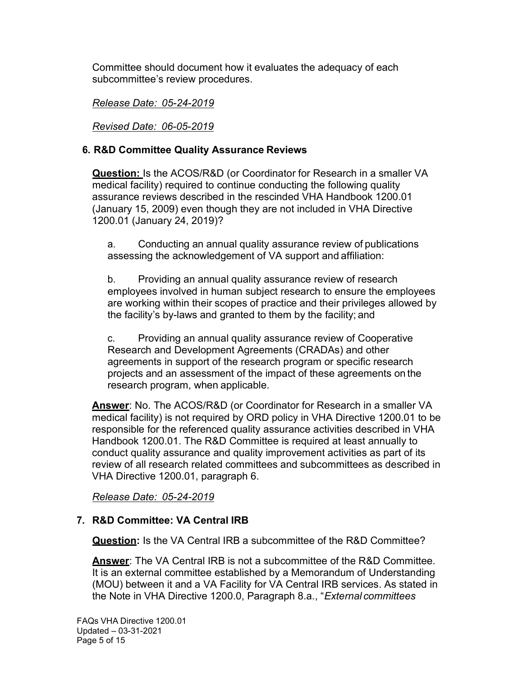Committee should document how it evaluates the adequacy of each subcommittee's review procedures.

Release Date: 05-24-2019

Revised Date: 06-05-2019

# 6. R&D Committee Quality Assurance Reviews

**Question:** Is the ACOS/R&D (or Coordinator for Research in a smaller VA medical facility) required to continue conducting the following quality assurance reviews described in the rescinded VHA Handbook 1200.01 (January 15, 2009) even though they are not included in VHA Directive 1200.01 (January 24, 2019)?

 a. Conducting an annual quality assurance review of publications assessing the acknowledgement of VA support and affiliation:

 b. Providing an annual quality assurance review of research employees involved in human subject research to ensure the employees are working within their scopes of practice and their privileges allowed by the facility's by-laws and granted to them by the facility; and

 c. Providing an annual quality assurance review of Cooperative Research and Development Agreements (CRADAs) and other agreements in support of the research program or specific research projects and an assessment of the impact of these agreements on the research program, when applicable.

<u>Answer</u>: No. The ACOS/R&D (or Coordinator for Research in a smaller VA medical facility) is not required by ORD policy in VHA Directive 1200.01 to be responsible for the referenced quality assurance activities described in VHA Handbook 1200.01. The R&D Committee is required at least annually to conduct quality assurance and quality improvement activities as part of its review of all research related committees and subcommittees as described in VHA Directive 1200.01, paragraph 6.

Release Date: 05-24-2019

# 7. R&D Committee: VA Central IRB

Question: Is the VA Central IRB a subcommittee of the R&D Committee?

Answer: The VA Central IRB is not a subcommittee of the R&D Committee. It is an external committee established by a Memorandum of Understanding (MOU) between it and a VA Facility for VA Central IRB services. As stated in the Note in VHA Directive 1200.0, Paragraph 8.a., "*External committees*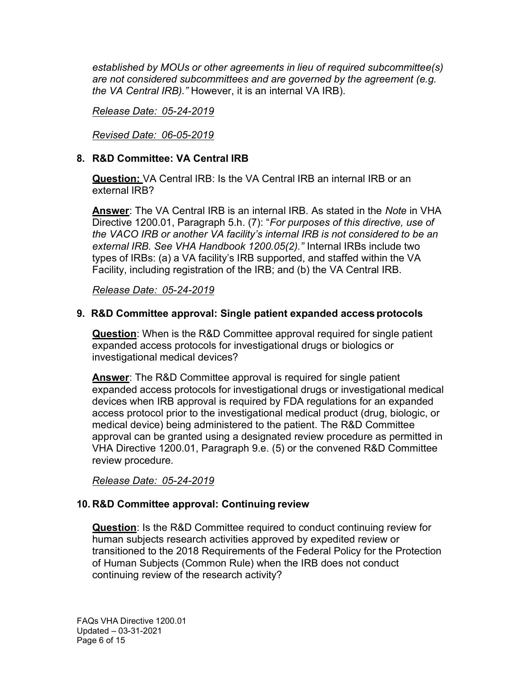established by MOUs or other agreements in lieu of required subcommittee(s) are not considered subcommittees and are governed by the agreement (e.g. the VA Central IRB)." However, it is an internal VA IRB).

## Release Date: 05-24-2019

Revised Date: 06-05-2019

# 8. R&D Committee: VA Central IRB

Question: VA Central IRB: Is the VA Central IRB an internal IRB or an external IRB?

Answer: The VA Central IRB is an internal IRB. As stated in the *Note* in VHA Directive 1200.01, Paragraph 5.h. (7): "For purposes of this directive, use of the VACO IRB or another VA facility's internal IRB is not considered to be an external IRB. See VHA Handbook 1200.05(2)." Internal IRBs include two types of IRBs: (a) a VA facility's IRB supported, and staffed within the VA Facility, including registration of the IRB; and (b) the VA Central IRB.

Release Date: 05-24-2019

## 9. R&D Committee approval: Single patient expanded access protocols

Question: When is the R&D Committee approval required for single patient expanded access protocols for investigational drugs or biologics or investigational medical devices?

Answer: The R&D Committee approval is required for single patient expanded access protocols for investigational drugs or investigational medical devices when IRB approval is required by FDA regulations for an expanded access protocol prior to the investigational medical product (drug, biologic, or medical device) being administered to the patient. The R&D Committee approval can be granted using a designated review procedure as permitted in VHA Directive 1200.01, Paragraph 9.e. (5) or the convened R&D Committee review procedure.

#### Release Date: 05-24-2019

#### 10. R&D Committee approval: Continuing review

**Question**: Is the R&D Committee required to conduct continuing review for human subjects research activities approved by expedited review or transitioned to the 2018 Requirements of the Federal Policy for the Protection of Human Subjects (Common Rule) when the IRB does not conduct continuing review of the research activity?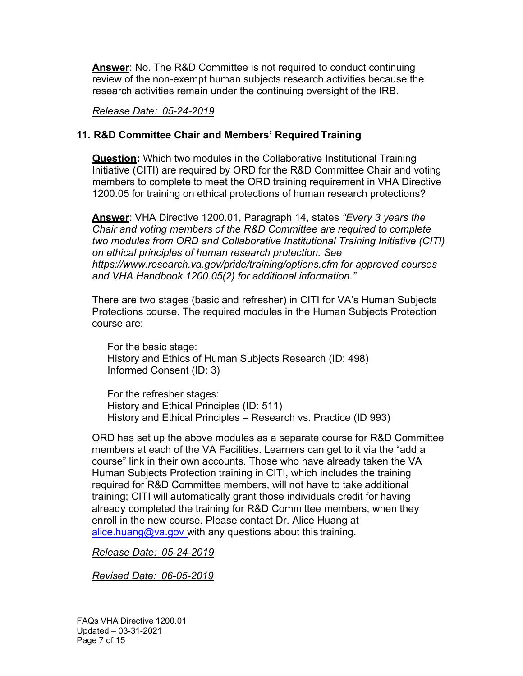**Answer: No. The R&D Committee is not required to conduct continuing**  review of the non-exempt human subjects research activities because the research activities remain under the continuing oversight of the IRB.

Release Date: 05-24-2019

# 11. R&D Committee Chair and Members' Required Training

**Question:** Which two modules in the Collaborative Institutional Training Initiative (CITI) are required by ORD for the R&D Committee Chair and voting members to complete to meet the ORD training requirement in VHA Directive 1200.05 for training on ethical protections of human research protections?

<u>Answer</u>: VHA Directive 1200.01, Paragraph 14, states *"Every 3 years the*  Chair and voting members of the R&D Committee are required to complete two modules from ORD and Collaborative Institutional Training Initiative (CITI) on ethical principles of human research protection. See <https://www.research.va.gov/pride/training/options.cfm> for approved courses and VHA Handbook 1200.05(2) for additional information."

 There are two stages (basic and refresher) in CITI for VA's Human Subjects Protections course. The required modules in the Human Subjects Protection course are:

For the basic stage: History and Ethics of Human Subjects Research (ID: 498) Informed Consent (ID: 3)

For the refresher stages: History and Ethical Principles (ID: 511) History and Ethical Principles – Research vs. Practice (ID 993)

 ORD has set up the above modules as a separate course for R&D Committee members at each of the VA Facilities. Learners can get to it via the "add a course" link in their own accounts. Those who have already taken the VA Human Subjects Protection training in CITI, which includes the training required for R&D Committee members, will not have to take additional training; CITI will automatically grant those individuals credit for having already completed the training for R&D Committee members, when they enroll in the new course. Please contact Dr. Alice Huang at [alice.huang@va.gov](mailto:alice.huang@va.gov)\_with any questions about this training.

Release Date: 05-24-2019

Revised Date: 06-05-2019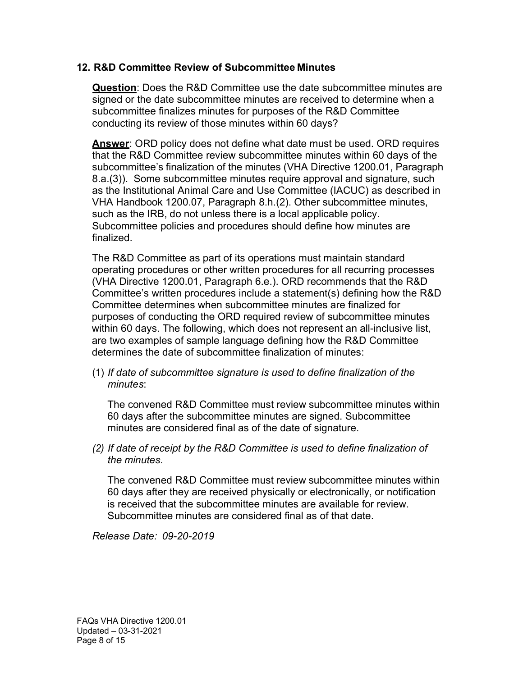## 12. R&D Committee Review of Subcommittee Minutes

Question: Does the R&D Committee use the date subcommittee minutes are signed or the date subcommittee minutes are received to determine when a subcommittee finalizes minutes for purposes of the R&D Committee conducting its review of those minutes within 60 days?

Answer: ORD policy does not define what date must be used. ORD requires that the R&D Committee review subcommittee minutes within 60 days of the subcommittee's finalization of the minutes (VHA Directive 1200.01, Paragraph 8.a.(3)). Some subcommittee minutes require approval and signature, such as the Institutional Animal Care and Use Committee (IACUC) as described in VHA Handbook 1200.07, Paragraph 8.h.(2). Other subcommittee minutes, such as the IRB, do not unless there is a local applicable policy. Subcommittee policies and procedures should define how minutes are finalized.

 The R&D Committee as part of its operations must maintain standard operating procedures or other written procedures for all recurring processes (VHA Directive 1200.01, Paragraph 6.e.). ORD recommends that the R&D Committee's written procedures include a statement(s) defining how the R&D Committee determines when subcommittee minutes are finalized for purposes of conducting the ORD required review of subcommittee minutes within 60 days. The following, which does not represent an all-inclusive list, are two examples of sample language defining how the R&D Committee determines the date of subcommittee finalization of minutes:

 (1) If date of subcommittee signature is used to define finalization of the minutes:

 The convened R&D Committee must review subcommittee minutes within 60 days after the subcommittee minutes are signed. Subcommittee minutes are considered final as of the date of signature.

 (2) If date of receipt by the R&D Committee is used to define finalization of the minutes.

 The convened R&D Committee must review subcommittee minutes within 60 days after they are received physically or electronically, or notification is received that the subcommittee minutes are available for review. Subcommittee minutes are considered final as of that date.

#### Release Date: 09-20-2019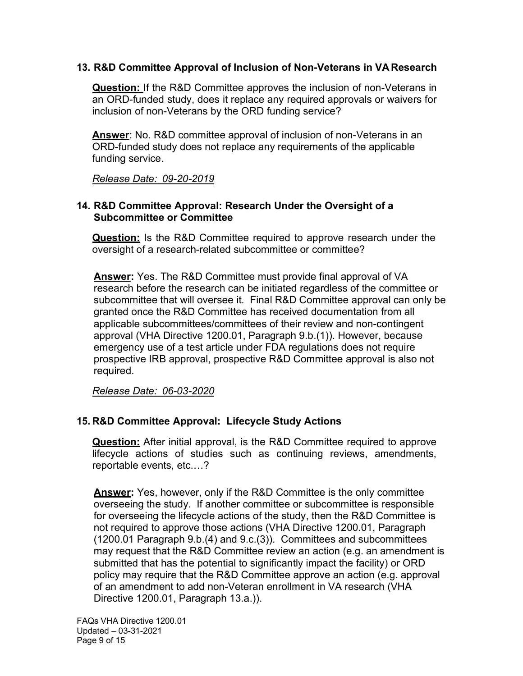## 13. R&D Committee Approval of Inclusion of Non-Veterans in VA Research

**Question:** If the R&D Committee approves the inclusion of non-Veterans in an ORD-funded study, does it replace any required approvals or waivers for inclusion of non-Veterans by the ORD funding service?

Answer: No. R&D committee approval of inclusion of non-Veterans in an ORD-funded study does not replace any requirements of the applicable funding service.

Release Date: 09-20-2019

## 14. R&D Committee Approval: Research Under the Oversight of a Subcommittee or Committee

**Question:** Is the R&D Committee required to approve research under the oversight of a research-related subcommittee or committee?

**<u>Answer</u>:** Yes. The R&D Committee must provide final approval of VA research before the research can be initiated regardless of the committee or subcommittee that will oversee it. Final R&D Committee approval can only be granted once the R&D Committee has received documentation from all applicable subcommittees/committees of their review and non-contingent approval (VHA Directive 1200.01, Paragraph 9.b.(1)). However, because emergency use of a test article under FDA regulations does not require prospective IRB approval, prospective R&D Committee approval is also not required.

Release Date: 06-03-2020

# 15. R&D Committee Approval: Lifecycle Study Actions

**Question:** After initial approval, is the R&D Committee required to approve lifecycle actions of studies such as continuing reviews, amendments, reportable events, etc.…?

**Answer:** Yes, however, only if the R&D Committee is the only committee overseeing the study. If another committee or subcommittee is responsible for overseeing the lifecycle actions of the study, then the R&D Committee is not required to approve those actions (VHA Directive 1200.01, Paragraph (1200.01 Paragraph 9.b.(4) and 9.c.(3)). Committees and subcommittees may request that the R&D Committee review an action (e.g. an amendment is submitted that has the potential to significantly impact the facility) or ORD policy may require that the R&D Committee approve an action (e.g. approval of an amendment to add non-Veteran enrollment in VA research (VHA Directive 1200.01, Paragraph 13.a.)).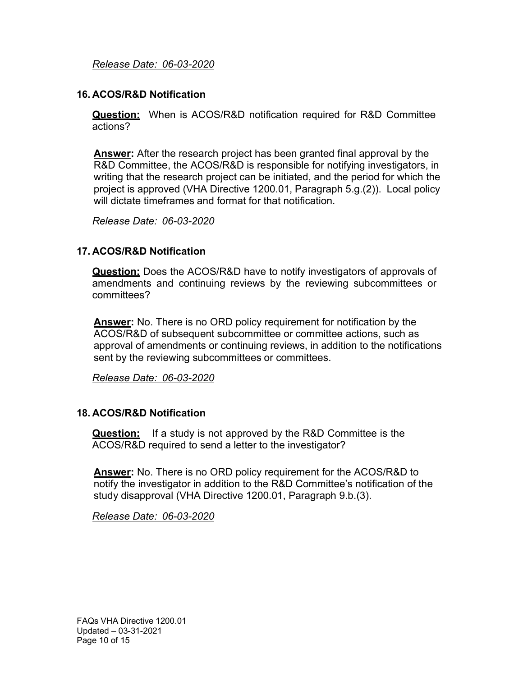#### 16. ACOS/R&D Notification

Question: When is ACOS/R&D notification required for R&D Committee actions?

Answer: After the research project has been granted final approval by the R&D Committee, the ACOS/R&D is responsible for notifying investigators, in writing that the research project can be initiated, and the period for which the project is approved (VHA Directive 1200.01, Paragraph 5.g.(2)). Local policy will dictate timeframes and format for that notification.

Release Date: 06-03-2020

#### 17. ACOS/R&D Notification

Question: Does the ACOS/R&D have to notify investigators of approvals of amendments and continuing reviews by the reviewing subcommittees or committees?

**Answer:** No. There is no ORD policy requirement for notification by the ACOS/R&D of subsequent subcommittee or committee actions, such as approval of amendments or continuing reviews, in addition to the notifications sent by the reviewing subcommittees or committees.

Release Date: 06-03-2020

#### 18. ACOS/R&D Notification

**Question:** If a study is not approved by the R&D Committee is the ACOS/R&D required to send a letter to the investigator?

**Answer:** No. There is no ORD policy requirement for the ACOS/R&D to notify the investigator in addition to the R&D Committee's notification of the study disapproval (VHA Directive 1200.01, Paragraph 9.b.(3).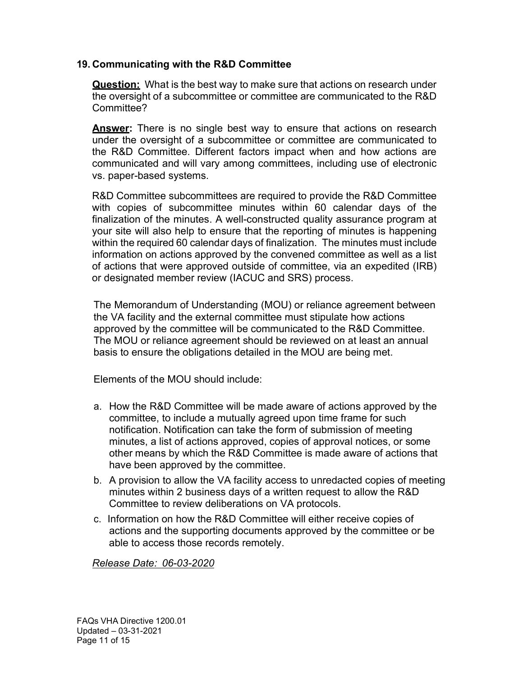## 19. Communicating with the R&D Committee

Question: What is the best way to make sure that actions on research under the oversight of a subcommittee or committee are communicated to the R&D Committee?

**Answer:** There is no single best way to ensure that actions on research under the oversight of a subcommittee or committee are communicated to the R&D Committee. Different factors impact when and how actions are communicated and will vary among committees, including use of electronic vs. paper-based systems.

 R&D Committee subcommittees are required to provide the R&D Committee with copies of subcommittee minutes within 60 calendar days of the finalization of the minutes. A well-constructed quality assurance program at your site will also help to ensure that the reporting of minutes is happening within the required 60 calendar days of finalization. The minutes must include information on actions approved by the convened committee as well as a list of actions that were approved outside of committee, via an expedited (IRB) or designated member review (IACUC and SRS) process.

 The Memorandum of Understanding (MOU) or reliance agreement between the VA facility and the external committee must stipulate how actions approved by the committee will be communicated to the R&D Committee. The MOU or reliance agreement should be reviewed on at least an annual basis to ensure the obligations detailed in the MOU are being met.

Elements of the MOU should include:

- a. How the R&D Committee will be made aware of actions approved by the committee, to include a mutually agreed upon time frame for such notification. Notification can take the form of submission of meeting minutes, a list of actions approved, copies of approval notices, or some other means by which the R&D Committee is made aware of actions that have been approved by the committee.
- b. A provision to allow the VA facility access to unredacted copies of meeting minutes within 2 business days of a written request to allow the R&D Committee to review deliberations on VA protocols.
- c. Information on how the R&D Committee will either receive copies of actions and the supporting documents approved by the committee or be able to access those records remotely.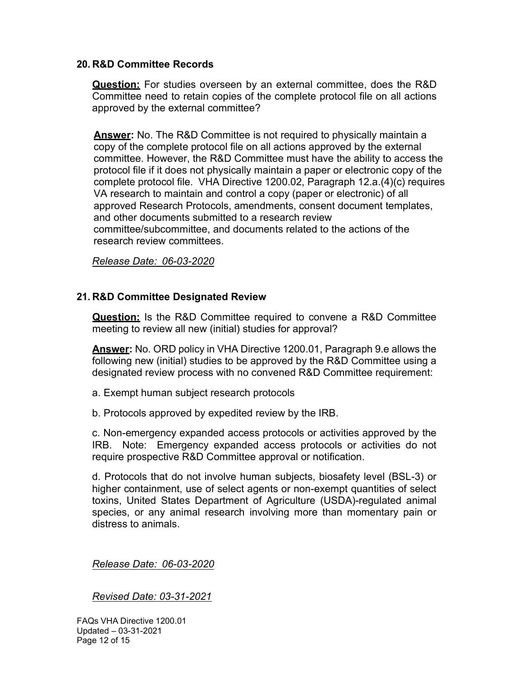#### 20. R&D Committee Records

Question: For studies overseen by an external committee, does the R&D Committee need to retain copies of the complete protocol file on all actions approved by the external committee?

**Answer:** No. The R&D Committee is not required to physically maintain a copy of the complete protocol file on all actions approved by the external committee. However, the R&D Committee must have the ability to access the protocol file if it does not physically maintain a paper or electronic copy of the complete protocol file. VHA Directive 1200.02, Paragraph 12.a.(4)(c) requires VA research to maintain and control a copy (paper or electronic) of all approved Research Protocols, amendments, consent document templates, and other documents submitted to a research review committee/subcommittee, and documents related to the actions of the research review committees.

Release Date: 06-03-2020

#### 21. R&D Committee Designated Review

Question: Is the R&D Committee required to convene a R&D Committee meeting to review all new (initial) studies for approval?

Answer: No. ORD policy in VHA Directive 1200.01, Paragraph 9.e allows the following new (initial) studies to be approved by the R&D Committee using a designated review process with no convened R&D Committee requirement:

- a. Exempt human subject research protocols
- b. Protocols approved by expedited review by the IRB.

 c. Non-emergency expanded access protocols or activities approved by the IRB. Note: Emergency expanded access protocols or activities do not require prospective R&D Committee approval or notification.

 d. Protocols that do not involve human subjects, biosafety level (BSL-3) or higher containment, use of select agents or non-exempt quantities of select toxins, United States Department of Agriculture (USDA)-regulated animal species, or any animal research involving more than momentary pain or distress to animals.

Release Date: 06-03-2020

Revised Date: 03-31-2021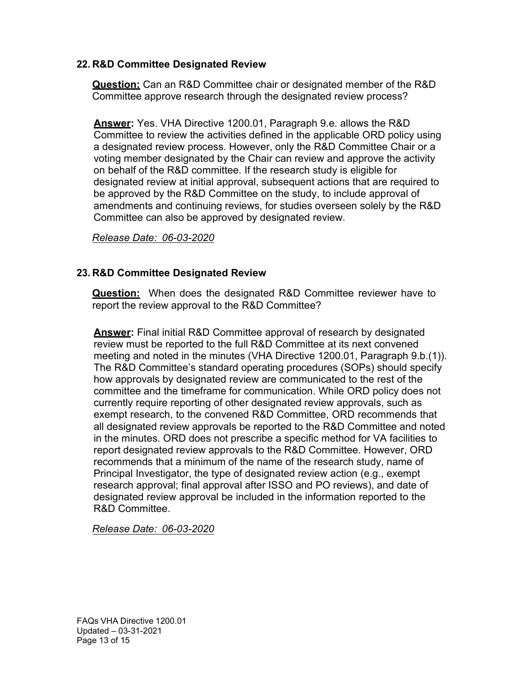## 22. R&D Committee Designated Review

Question: Can an R&D Committee chair or designated member of the R&D Committee approve research through the designated review process?

Answer: Yes. VHA Directive 1200.01, Paragraph 9.e. allows the R&D Committee to review the activities defined in the applicable ORD policy using a designated review process. However, only the R&D Committee Chair or a voting member designated by the Chair can review and approve the activity on behalf of the R&D committee. If the research study is eligible for designated review at initial approval, subsequent actions that are required to be approved by the R&D Committee on the study, to include approval of amendments and continuing reviews, for studies overseen solely by the R&D Committee can also be approved by designated review.

Release Date: 06-03-2020

# 23. R&D Committee Designated Review

**Question:** When does the designated R&D Committee reviewer have to report the review approval to the R&D Committee?

Answer: Final initial R&D Committee approval of research by designated review must be reported to the full R&D Committee at its next convened meeting and noted in the minutes (VHA Directive 1200.01, Paragraph 9.b.(1)). The R&D Committee's standard operating procedures (SOPs) should specify how approvals by designated review are communicated to the rest of the committee and the timeframe for communication. While ORD policy does not currently require reporting of other designated review approvals, such as exempt research, to the convened R&D Committee, ORD recommends that all designated review approvals be reported to the R&D Committee and noted in the minutes. ORD does not prescribe a specific method for VA facilities to report designated review approvals to the R&D Committee. However, ORD recommends that a minimum of the name of the research study, name of Principal Investigator, the type of designated review action (e.g., exempt research approval; final approval after ISSO and PO reviews), and date of designated review approval be included in the information reported to the R&D Committee.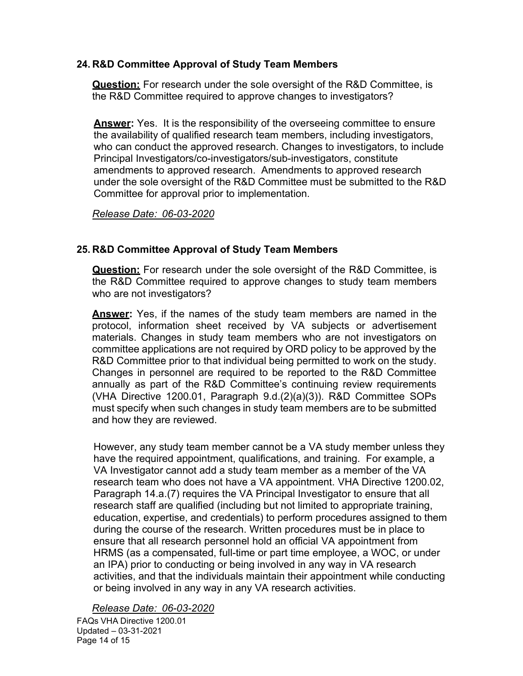## 24. R&D Committee Approval of Study Team Members

Question: For research under the sole oversight of the R&D Committee, is the R&D Committee required to approve changes to investigators?

**Answer:** Yes. It is the responsibility of the overseeing committee to ensure the availability of qualified research team members, including investigators, who can conduct the approved research. Changes to investigators, to include Principal Investigators/co-investigators/sub-investigators, constitute amendments to approved research. Amendments to approved research under the sole oversight of the R&D Committee must be submitted to the R&D Committee for approval prior to implementation.

Release Date: 06-03-2020

# 25. R&D Committee Approval of Study Team Members

**Question:** For research under the sole oversight of the R&D Committee, is the R&D Committee required to approve changes to study team members who are not investigators?

**Answer:** Yes, if the names of the study team members are named in the protocol, information sheet received by VA subjects or advertisement materials. Changes in study team members who are not investigators on committee applications are not required by ORD policy to be approved by the R&D Committee prior to that individual being permitted to work on the study. Changes in personnel are required to be reported to the R&D Committee annually as part of the R&D Committee's continuing review requirements (VHA Directive 1200.01, Paragraph 9.d.(2)(a)(3)). R&D Committee SOPs must specify when such changes in study team members are to be submitted and how they are reviewed.

 However, any study team member cannot be a VA study member unless they have the required appointment, qualifications, and training. For example, a VA Investigator cannot add a study team member as a member of the VA research team who does not have a VA appointment. VHA Directive 1200.02, Paragraph 14.a.(7) requires the VA Principal Investigator to ensure that all research staff are qualified (including but not limited to appropriate training, education, expertise, and credentials) to perform procedures assigned to them during the course of the research. Written procedures must be in place to ensure that all research personnel hold an official VA appointment from HRMS (as a compensated, full-time or part time employee, a WOC, or under an IPA) prior to conducting or being involved in any way in VA research activities, and that the individuals maintain their appointment while conducting or being involved in any way in any VA research activities.

Release Date: 06-03-2020

 FAQs VHA Directive 1200.01 Updated – 03-31-2021 Page 14 of 15